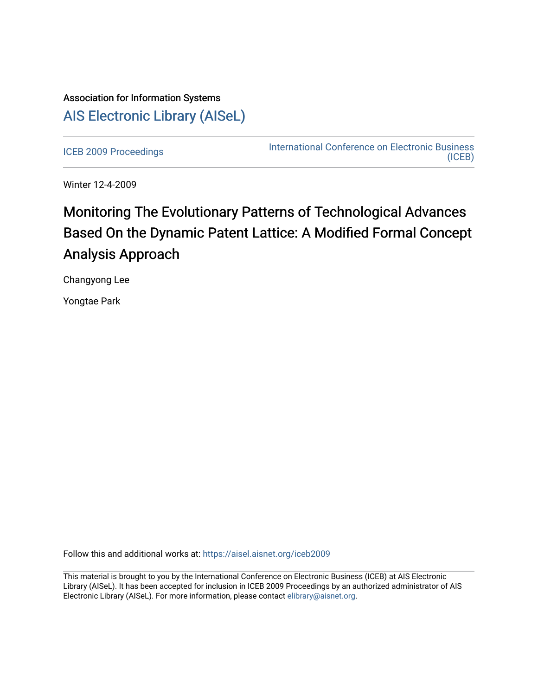## Association for Information Systems [AIS Electronic Library \(AISeL\)](https://aisel.aisnet.org/)

[ICEB 2009 Proceedings](https://aisel.aisnet.org/iceb2009) **International Conference on Electronic Business** [\(ICEB\)](https://aisel.aisnet.org/iceb) 

Winter 12-4-2009

# Monitoring The Evolutionary Patterns of Technological Advances Based On the Dynamic Patent Lattice: A Modified Formal Concept Analysis Approach

Changyong Lee

Yongtae Park

Follow this and additional works at: [https://aisel.aisnet.org/iceb2009](https://aisel.aisnet.org/iceb2009?utm_source=aisel.aisnet.org%2Ficeb2009%2F3&utm_medium=PDF&utm_campaign=PDFCoverPages)

This material is brought to you by the International Conference on Electronic Business (ICEB) at AIS Electronic Library (AISeL). It has been accepted for inclusion in ICEB 2009 Proceedings by an authorized administrator of AIS Electronic Library (AISeL). For more information, please contact [elibrary@aisnet.org.](mailto:elibrary@aisnet.org%3E)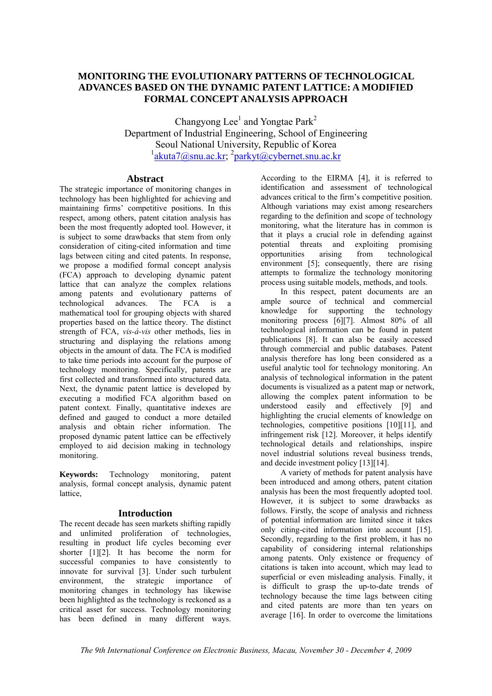## **MONITORING THE EVOLUTIONARY PATTERNS OF TECHNOLOGICAL ADVANCES BASED ON THE DYNAMIC PATENT LATTICE: A MODIFIED FORMAL CONCEPT ANALYSIS APPROACH**

Changyong Lee<sup>1</sup> and Yongtae Park<sup>2</sup> Department of Industrial Engineering, School of Engineering Seoul National University, Republic of Korea <sup>1</sup>akuta7@snu.ac.kr; <sup>2</sup>parkyt@cybernet.snu.ac.kr

## **Abstract**

The strategic importance of monitoring changes in technology has been highlighted for achieving and maintaining firms' competitive positions. In this respect, among others, patent citation analysis has been the most frequently adopted tool. However, it is subject to some drawbacks that stem from only consideration of citing-cited information and time lags between citing and cited patents. In response, we propose a modified formal concept analysis (FCA) approach to developing dynamic patent lattice that can analyze the complex relations among patents and evolutionary patterns of technological advances. The FCA is a mathematical tool for grouping objects with shared properties based on the lattice theory. The distinct strength of FCA, *vis-á-vis* other methods, lies in structuring and displaying the relations among objects in the amount of data. The FCA is modified to take time periods into account for the purpose of technology monitoring. Specifically, patents are first collected and transformed into structured data. Next, the dynamic patent lattice is developed by executing a modified FCA algorithm based on patent context. Finally, quantitative indexes are defined and gauged to conduct a more detailed analysis and obtain richer information. The proposed dynamic patent lattice can be effectively employed to aid decision making in technology monitoring.

**Keywords:** Technology monitoring, patent analysis, formal concept analysis, dynamic patent lattice,

## **Introduction**

The recent decade has seen markets shifting rapidly and unlimited proliferation of technologies, resulting in product life cycles becoming ever shorter [1][2]. It has become the norm for successful companies to have consistently to innovate for survival [3]. Under such turbulent environment, the strategic importance of monitoring changes in technology has likewise been highlighted as the technology is reckoned as a critical asset for success. Technology monitoring has been defined in many different ways.

According to the EIRMA [4], it is referred to identification and assessment of technological advances critical to the firm's competitive position. Although variations may exist among researchers regarding to the definition and scope of technology monitoring, what the literature has in common is that it plays a crucial role in defending against potential threats and exploiting promising opportunities arising from technological environment [5]; consequently, there are rising attempts to formalize the technology monitoring process using suitable models, methods, and tools.

 In this respect, patent documents are an ample source of technical and commercial knowledge for supporting the technology monitoring process [6][7]. Almost 80% of all technological information can be found in patent publications [8]. It can also be easily accessed through commercial and public databases. Patent analysis therefore has long been considered as a useful analytic tool for technology monitoring. An analysis of technological information in the patent documents is visualized as a patent map or network, allowing the complex patent information to be understood easily and effectively [9] and highlighting the crucial elements of knowledge on technologies, competitive positions [10][11], and infringement risk [12]. Moreover, it helps identify technological details and relationships, inspire novel industrial solutions reveal business trends, and decide investment policy [13][14].

 A variety of methods for patent analysis have been introduced and among others, patent citation analysis has been the most frequently adopted tool. However, it is subject to some drawbacks as follows. Firstly, the scope of analysis and richness of potential information are limited since it takes only citing-cited information into account [15]. Secondly, regarding to the first problem, it has no capability of considering internal relationships among patents. Only existence or frequency of citations is taken into account, which may lead to superficial or even misleading analysis. Finally, it is difficult to grasp the up-to-date trends of technology because the time lags between citing and cited patents are more than ten years on average [16]. In order to overcome the limitations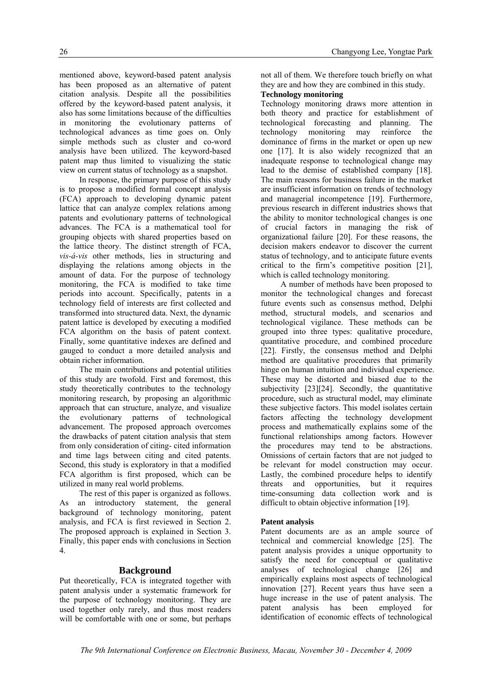mentioned above, keyword-based patent analysis has been proposed as an alternative of patent citation analysis. Despite all the possibilities offered by the keyword-based patent analysis, it also has some limitations because of the difficulties in monitoring the evolutionary patterns of technological advances as time goes on. Only simple methods such as cluster and co-word analysis have been utilized. The keyword-based patent map thus limited to visualizing the static view on current status of technology as a snapshot.

 In response, the primary purpose of this study is to propose a modified formal concept analysis (FCA) approach to developing dynamic patent lattice that can analyze complex relations among patents and evolutionary patterns of technological advances. The FCA is a mathematical tool for grouping objects with shared properties based on the lattice theory. The distinct strength of FCA, *vis-á-vis* other methods, lies in structuring and displaying the relations among objects in the amount of data. For the purpose of technology monitoring, the FCA is modified to take time periods into account. Specifically, patents in a technology field of interests are first collected and transformed into structured data. Next, the dynamic patent lattice is developed by executing a modified FCA algorithm on the basis of patent context. Finally, some quantitative indexes are defined and gauged to conduct a more detailed analysis and obtain richer information.

 The main contributions and potential utilities of this study are twofold. First and foremost, this study theoretically contributes to the technology monitoring research, by proposing an algorithmic approach that can structure, analyze, and visualize the evolutionary patterns of technological advancement. The proposed approach overcomes the drawbacks of patent citation analysis that stem from only consideration of citing- cited information and time lags between citing and cited patents. Second, this study is exploratory in that a modified FCA algorithm is first proposed, which can be utilized in many real world problems.

 The rest of this paper is organized as follows. As an introductory statement, the general background of technology monitoring, patent analysis, and FCA is first reviewed in Section 2. The proposed approach is explained in Section 3. Finally, this paper ends with conclusions in Section 4.

## **Background**

Put theoretically, FCA is integrated together with patent analysis under a systematic framework for the purpose of technology monitoring. They are used together only rarely, and thus most readers will be comfortable with one or some, but perhaps not all of them. We therefore touch briefly on what they are and how they are combined in this study.

## **Technology monitoring**

Technology monitoring draws more attention in both theory and practice for establishment of technological forecasting and planning. The technology monitoring may reinforce the dominance of firms in the market or open up new one [17]. It is also widely recognized that an inadequate response to technological change may lead to the demise of established company [18]. The main reasons for business failure in the market are insufficient information on trends of technology and managerial incompetence [19]. Furthermore, previous research in different industries shows that the ability to monitor technological changes is one of crucial factors in managing the risk of organizational failure [20]. For these reasons, the decision makers endeavor to discover the current status of technology, and to anticipate future events critical to the firm's competitive position [21], which is called technology monitoring.

 A number of methods have been proposed to monitor the technological changes and forecast future events such as consensus method, Delphi method, structural models, and scenarios and technological vigilance. These methods can be grouped into three types: qualitative procedure, quantitative procedure, and combined procedure [22]. Firstly, the consensus method and Delphi method are qualitative procedures that primarily hinge on human intuition and individual experience. These may be distorted and biased due to the subjectivity [23][24]. Secondly, the quantitative procedure, such as structural model, may eliminate these subjective factors. This model isolates certain factors affecting the technology development process and mathematically explains some of the functional relationships among factors. However the procedures may tend to be abstractions. Omissions of certain factors that are not judged to be relevant for model construction may occur. Lastly, the combined procedure helps to identify threats and opportunities, but it requires time-consuming data collection work and is difficult to obtain objective information [19].

## **Patent analysis**

Patent documents are as an ample source of technical and commercial knowledge [25]. The patent analysis provides a unique opportunity to satisfy the need for conceptual or qualitative analyses of technological change [26] and empirically explains most aspects of technological innovation [27]. Recent years thus have seen a huge increase in the use of patent analysis. The patent analysis has been employed for identification of economic effects of technological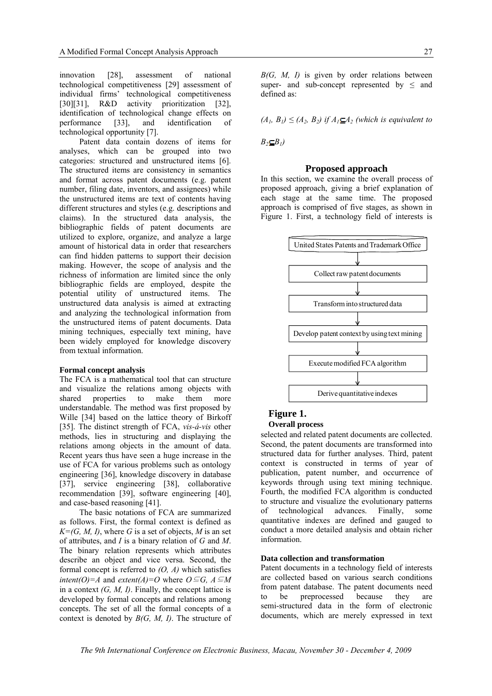innovation [28], assessment of national technological competitiveness [29] assessment of individual firms' technological competitiveness [30][31], R&D activity prioritization [32], identification of technological change effects on performance [33], and identification of technological opportunity [7].

 Patent data contain dozens of items for analyses, which can be grouped into two categories: structured and unstructured items [6]. The structured items are consistency in semantics and format across patent documents (e.g. patent number, filing date, inventors, and assignees) while the unstructured items are text of contents having different structures and styles (e.g. descriptions and claims). In the structured data analysis, the bibliographic fields of patent documents are utilized to explore, organize, and analyze a large amount of historical data in order that researchers can find hidden patterns to support their decision making. However, the scope of analysis and the richness of information are limited since the only bibliographic fields are employed, despite the potential utility of unstructured items. The unstructured data analysis is aimed at extracting and analyzing the technological information from the unstructured items of patent documents. Data mining techniques, especially text mining, have been widely employed for knowledge discovery from textual information.

#### **Formal concept analysis**

The FCA is a mathematical tool that can structure and visualize the relations among objects with shared properties to make them more understandable. The method was first proposed by Wille [34] based on the lattice theory of Birkoff [35]. The distinct strength of FCA, *vis-á-vis* other methods, lies in structuring and displaying the relations among objects in the amount of data. Recent years thus have seen a huge increase in the use of FCA for various problems such as ontology engineering [36], knowledge discovery in database [37], service engineering [38], collaborative recommendation [39], software engineering [40], and case-based reasoning [41].

 The basic notations of FCA are summarized as follows. First, the formal context is defined as  $K=(G, M, I)$ , where *G* is a set of objects, *M* is an set of attributes, and *I* is a binary relation of *G* and *M*. The binary relation represents which attributes describe an object and vice versa. Second, the formal concept is referred to *(O, A)* which satisfies *intent(O)=A* and *extent(A)=O* where  $O \subseteq G$ ,  $A \subseteq M$ in a context *(G, M, I)*. Finally, the concept lattice is developed by formal concepts and relations among concepts. The set of all the formal concepts of a context is denoted by *B(G, M, I)*. The structure of *B(G, M, I)* is given by order relations between super- and sub-concept represented by  $\leq$  and defined as:

 $(A_1, B_1) \leq (A_2, B_2)$  *if*  $A_1 \subseteq A_2$  (which is equivalent to

 $B_2 \subset B_1$ 

#### **Proposed approach**

In this section, we examine the overall process of proposed approach, giving a brief explanation of each stage at the same time. The proposed approach is comprised of five stages, as shown in Figure 1. First, a technology field of interests is



## **Figure 1.**

## **Overall process**

selected and related patent documents are collected. Second, the patent documents are transformed into structured data for further analyses. Third, patent context is constructed in terms of year of publication, patent number, and occurrence of keywords through using text mining technique. Fourth, the modified FCA algorithm is conducted to structure and visualize the evolutionary patterns of technological advances. Finally, some quantitative indexes are defined and gauged to conduct a more detailed analysis and obtain richer information.

#### **Data collection and transformation**

Patent documents in a technology field of interests are collected based on various search conditions from patent database. The patent documents need to be preprocessed because they are semi-structured data in the form of electronic documents, which are merely expressed in text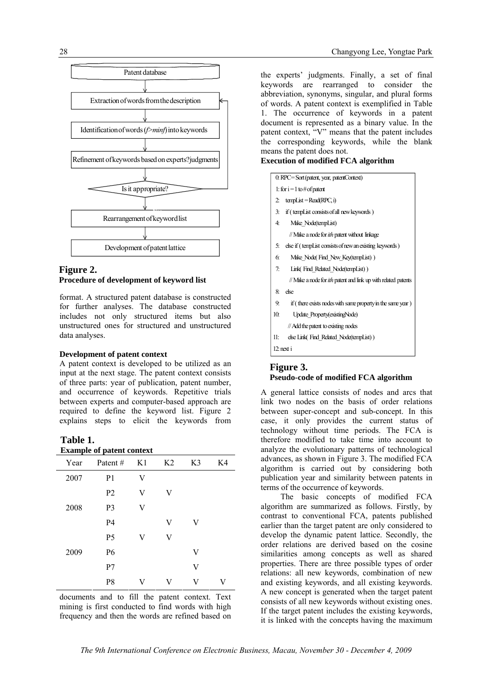

## **Figure 2. Procedure of development of keyword list**

format. A structured patent database is constructed for further analyses. The database constructed includes not only structured items but also unstructured ones for structured and unstructured data analyses.

#### **Development of patent context**

A patent context is developed to be utilized as an input at the next stage. The patent context consists of three parts: year of publication, patent number, and occurrence of keywords. Repetitive trials between experts and computer-based approach are required to define the keyword list. Figure 2 explains steps to elicit the keywords from

#### **Table 1. Example of patent context**

| Year | Patent#        | K1 | K <sub>2</sub> | K3 | K4 |
|------|----------------|----|----------------|----|----|
| 2007 | P <sub>1</sub> | V  |                |    |    |
|      | P2             | V  | V              |    |    |
| 2008 | P3             | V  |                |    |    |
|      | P4             |    | V              | V  |    |
|      | P <sub>5</sub> | V  | V              |    |    |
| 2009 | P6             |    |                | V  |    |
|      | P7             |    |                | V  |    |
|      | P8             | V  | V              | V  | V  |

documents and to fill the patent context. Text mining is first conducted to find words with high frequency and then the words are refined based on

the experts' judgments. Finally, a set of final keywords are rearranged to consider the abbreviation, synonyms, singular, and plural forms of words. A patent context is exemplified in Table 1. The occurrence of keywords in a patent document is represented as a binary value. In the patent context, "V" means that the patent includes the corresponding keywords, while the blank means the patent does not.

## **Execution of modified FCA algorithm**

| 0. RPC=Sort (patent, year, patentContext) |                                                                       |  |  |  |
|-------------------------------------------|-----------------------------------------------------------------------|--|--|--|
| 1: for $i = 1$ to # of patent             |                                                                       |  |  |  |
| $\mathbf{r}$                              | $t$ empList = Read(RPC, i)                                            |  |  |  |
| $\overline{3}$ :                          | if (tempList consists of all new keywords)                            |  |  |  |
| 4:                                        | Make Node(tempList)                                                   |  |  |  |
|                                           | // Make a node for <i>ith</i> patent without linkage                  |  |  |  |
| 5:                                        | else if (tempList consists of new an existing keywords)               |  |  |  |
| 6.                                        | Make Node(Find New Key(tempList))                                     |  |  |  |
| 7:                                        | Link(Find Related Node(tempList))                                     |  |  |  |
|                                           | // Make a node for <i>ith</i> patent and link up with related patents |  |  |  |
| 8:                                        | else                                                                  |  |  |  |
| 9.                                        | if (there exists nodes with same property in the same year)           |  |  |  |
| 10 <sub>i</sub>                           | Update Property(existingNode)                                         |  |  |  |
|                                           | // Add the patent to existing nodes                                   |  |  |  |
| 11:                                       | else Link Find Related Node (tempList))                               |  |  |  |
|                                           | $12$ : next i                                                         |  |  |  |

## **Figure 3. Pseudo-code of modified FCA algorithm**

A general lattice consists of nodes and arcs that link two nodes on the basis of order relations between super-concept and sub-concept. In this case, it only provides the current status of technology without time periods. The FCA is therefore modified to take time into account to analyze the evolutionary patterns of technological advances, as shown in Figure 3. The modified FCA algorithm is carried out by considering both publication year and similarity between patents in terms of the occurrence of keywords.

 The basic concepts of modified FCA algorithm are summarized as follows. Firstly, by contrast to conventional FCA, patents published earlier than the target patent are only considered to develop the dynamic patent lattice. Secondly, the order relations are derived based on the cosine similarities among concepts as well as shared properties. There are three possible types of order relations: all new keywords, combination of new and existing keywords, and all existing keywords. A new concept is generated when the target patent consists of all new keywords without existing ones. If the target patent includes the existing keywords, it is linked with the concepts having the maximum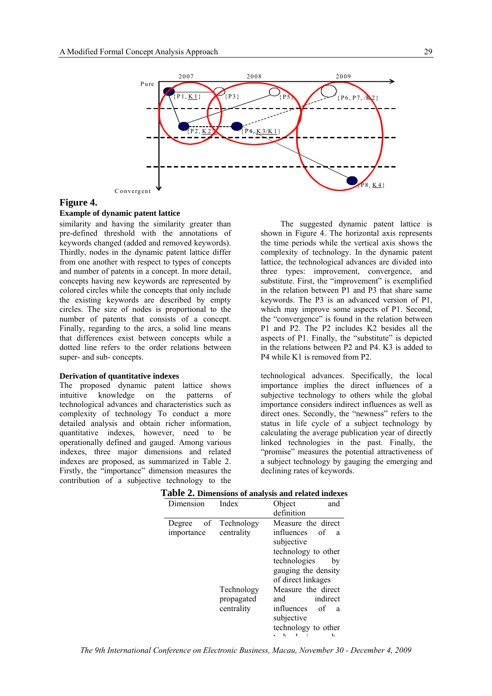

#### **Figure 4.**

#### **Example of dynamic patent lattice**

similarity and having the similarity greater than pre-defined threshold with the annotations of keywords changed (added and removed keywords). Thirdly, nodes in the dynamic patent lattice differ from one another with respect to types of concepts and number of patents in a concept. In more detail, concepts having new keywords are represented by colored circles while the concepts that only include the existing keywords are described by empty circles. The size of nodes is proportional to the number of patents that consists of a concept. Finally, regarding to the arcs, a solid line means that differences exist between concepts while a dotted line refers to the order relations between super- and sub- concepts.

#### **Derivation of quantitative indexes**

The proposed dynamic patent lattice shows intuitive knowledge on the patterns of technological advances and characteristics such as complexity of technology To conduct a more detailed analysis and obtain richer information, quantitative indexes, however, need to be operationally defined and gauged. Among various indexes, three major dimensions and related indexes are proposed, as summarized in Table 2. Firstly, the "importance" dimension measures the contribution of a subjective technology to the

 The suggested dynamic patent lattice is shown in Figure 4. The horizontal axis represents the time periods while the vertical axis shows the complexity of technology. In the dynamic patent lattice, the technological advances are divided into three types: improvement, convergence, and substitute. First, the "improvement" is exemplified in the relation between P1 and P3 that share same keywords. The P3 is an advanced version of P1, which may improve some aspects of P1. Second, the "convergence" is found in the relation between P1 and P2. The P2 includes K2 besides all the aspects of P1. Finally, the "substitute" is depicted in the relations between P2 and P4. K3 is added to P4 while K1 is removed from P2.

technological advances. Specifically, the local importance implies the direct influences of a subjective technology to others while the global importance considers indirect influences as well as direct ones. Secondly, the "newness" refers to the status in life cycle of a subject technology by calculating the average publication year of directly linked technologies in the past. Finally, the "promise" measures the potential attractiveness of a subject technology by gauging the emerging and declining rates of keywords.

| Dimension                          | Index      | Object<br>and                             |  |  |
|------------------------------------|------------|-------------------------------------------|--|--|
|                                    |            | definition                                |  |  |
| Degree of Technology<br>importance | centrality | Measure the direct<br>influences of<br>a  |  |  |
|                                    |            | subjective                                |  |  |
|                                    |            | technology to other                       |  |  |
|                                    |            | technologies<br>bv                        |  |  |
|                                    |            | gauging the density<br>of direct linkages |  |  |
|                                    |            |                                           |  |  |
|                                    | Technology | Measure the direct                        |  |  |
|                                    | propagated | indirect<br>and                           |  |  |
|                                    | centrality | influences<br>of<br>a                     |  |  |
|                                    |            | subjective                                |  |  |
|                                    |            | technology to other<br>1<br>1.            |  |  |
|                                    |            |                                           |  |  |

## **Table 2. Dimensions of analysis and related indexes**

*The 9th International Conference on Electronic Business, Macau, November 30 - December 4, 2009*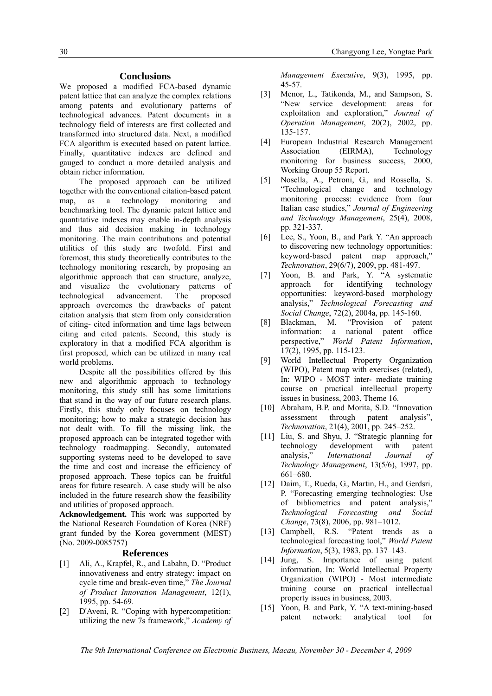#### **Conclusions**

We proposed a modified FCA-based dynamic patent lattice that can analyze the complex relations among patents and evolutionary patterns of technological advances. Patent documents in a technology field of interests are first collected and transformed into structured data. Next, a modified FCA algorithm is executed based on patent lattice. Finally, quantitative indexes are defined and gauged to conduct a more detailed analysis and obtain richer information.

 The proposed approach can be utilized together with the conventional citation-based patent map, as a technology monitoring and benchmarking tool. The dynamic patent lattice and quantitative indexes may enable in-depth analysis and thus aid decision making in technology monitoring. The main contributions and potential utilities of this study are twofold. First and foremost, this study theoretically contributes to the technology monitoring research, by proposing an algorithmic approach that can structure, analyze, and visualize the evolutionary patterns of technological advancement. The proposed approach overcomes the drawbacks of patent citation analysis that stem from only consideration of citing- cited information and time lags between citing and cited patents. Second, this study is exploratory in that a modified FCA algorithm is first proposed, which can be utilized in many real world problems.

 Despite all the possibilities offered by this new and algorithmic approach to technology monitoring, this study still has some limitations that stand in the way of our future research plans. Firstly, this study only focuses on technology monitoring; how to make a strategic decision has not dealt with. To fill the missing link, the proposed approach can be integrated together with technology roadmapping. Secondly, automated supporting systems need to be developed to save the time and cost and increase the efficiency of proposed approach. These topics can be fruitful areas for future research. A case study will be also included in the future research show the feasibility and utilities of proposed approach.

**Acknowledgement.** This work was supported by the National Research Foundation of Korea (NRF) grant funded by the Korea government (MEST) (No. 2009-0085757)

#### **References**

- [1] Ali, A., Krapfel, R., and Labahn, D. "Product innovativeness and entry strategy: impact on cycle time and break-even time," *The Journal of Product Innovation Management*, 12(1), 1995, pp. 54-69.
- [2] D'Aveni, R. "Coping with hypercompetition: utilizing the new 7s framework," *Academy of*

*Management Executive*, 9(3), 1995, pp. 45-57.

- [3] Menor, L., Tatikonda, M., and Sampson, S. "New service development: areas for exploitation and exploration," *Journal of Operation Management*, 20(2), 2002, pp. 135-157.
- [4] European Industrial Research Management Association (EIRMA) Technology monitoring for business success, 2000, Working Group 55 Report.
- [5] Nosella, A., Petroni, G., and Rossella, S. "Technological change and technology monitoring process: evidence from four Italian case studies," *Journal of Engineering and Technology Management*, 25(4), 2008, pp. 321-337.
- [6] Lee, S., Yoon, B., and Park Y. "An approach to discovering new technology opportunities: keyword-based patent map approach," *Technovation*, 29(6/7), 2009, pp. 481-497.
- [7] Yoon, B. and Park, Y. "A systematic approach for identifying technology opportunities: keyword-based morphology analysis," *Technological Forecasting and Social Change*, 72(2), 2004a, pp. 145-160.
- [8] Blackman, M. "Provision of patent information: a national patent office perspective," *World Patent Information*, 17(2), 1995, pp. 115-123.
- [9] World Intellectual Property Organization (WIPO), Patent map with exercises (related), In: WIPO - MOST inter- mediate training course on practical intellectual property issues in business, 2003, Theme 16.
- [10] Abraham, B.P. and Morita, S.D. "Innovation assessment through patent analysis", *Technovation*, 21(4), 2001, pp. 245–252.
- [11] Liu, S. and Shyu, J. "Strategic planning for technology development with patent analysis," *International Journal of Technology Management*, 13(5/6), 1997, pp. 661–680.
- [12] Daim, T., Rueda, G., Martin, H., and Gerdsri, P. "Forecasting emerging technologies: Use of bibliometrics and patent analysis," *Technological Forecasting and Social Change*, 73(8), 2006, pp. 981–1012.
- [13] Campbell, R.S. "Patent trends as a technological forecasting tool," *World Patent Information*, 5(3), 1983, pp. 137–143.
- [14] Jung, S. Importance of using patent information, In: World Intellectual Property Organization (WIPO) - Most intermediate training course on practical intellectual property issues in business, 2003.
- [15] Yoon, B. and Park, Y. "A text-mining-based patent network: analytical tool for